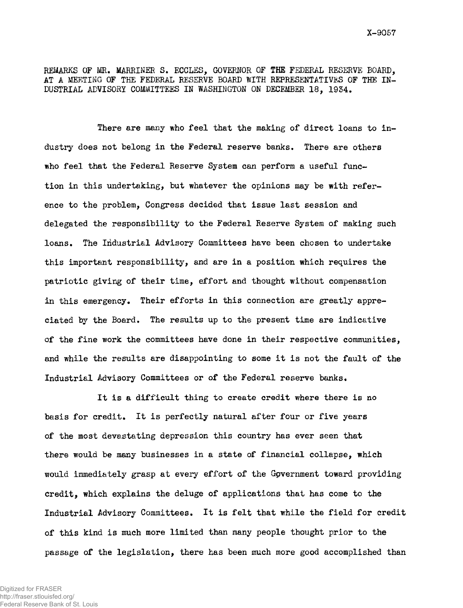REMARKS OF MR. MARRINER S. ECCLES, GOVERNOR OF THE FEDERAL RESERVE BOARD, AT A MEETING OF THE FEDERAL RESERVE BOARD WITH REPRESENTATIVES OF THE IN-DUSTRIAL ADVISORY COMMITTEES IN WASHINGTON ON DECEMBER 18, 1954.

There are many who feel that the making of direct loans to industry does not belong in the Federal reserve banks. There are others who feel that the Federal Reserve System can perform a useful function in this undertaking, but whatever the opinions may be with reference to the problem, Congress decided that issue last session and delegated the responsibility to the Federal Reserve System of making such loans. The Industrial Advisory Committees have been chosen to undertake this important responsibility, and are in a position which requires the patriotic giving of their time, effort and thought without compensation in this emergency. Their efforts in this connection are greatly appreciated by the Board. The results up to the present time are indicative of the fine work the committees have done in their respective communities, and while the results are disappointing to some it is not the fault of the Industrial Advisory Committees or of the Federal reserve banks.

It is a difficult thing to create credit where there is no basis for credit. It is perfectly natural after four or five years of the most devastating depression this country has ever seen that there would be many businesses in a state of financial collapse, which would immediately grasp at every effort of the Gpvernment toward providing credit, which explains the deluge of applications that has come to the Industrial Advisory Committees. It is felt that while the field for credit of this kind is much more limited than many people thought prior to the passage of the legislation, there has been much more good accomplished than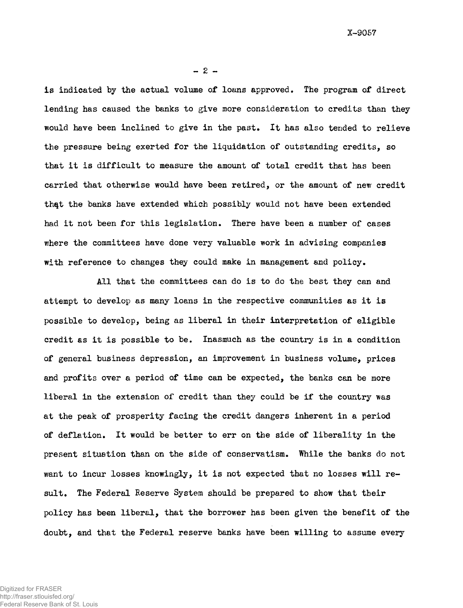$-2 -$ 

is indicated by the actual volume of loans approved. The program of direct lending has caused the banks to give more consideration to credits than they would have been inclined to give in the past. It has also tended to relieve the pressure being exerted for the liquidation of outstanding credits, so that it is difficult to measure the amount of total credit that has been carried that otherwise would have been retired, or the amount of new credit that the banks have extended which possibly would not have been extended had it not been for this legislation. There have been a number of cases where the committees have done very valuable work in advising companies with reference to changes they could make in management and policy.

All that the committees can do is to do the best they can and attempt to develop as many loans in the respective communities as it is possible to develop, being as liberal in their interpretation of eligible credit as it is possible to be. Inasmuch as the country is in a condition of general business depression, an improvement in business volume, prices and profits over a period of time can be expected, the banks can be more liberal in the extension of credit than they could be if the country was at the peak of prosperity facing the credit dangers inherent in a period of deflation. It would be better to err on the side of liberality in the present situation than on the side of conservatism. While the banks do not want to incur losses knowingly, it is not expected that no losses will result. The Federal Reserve System should be prepared to show that their policy has been liberal, that the borrower has been given the benefit of the doubt, and that the Federal reserve banks have been willing to assume every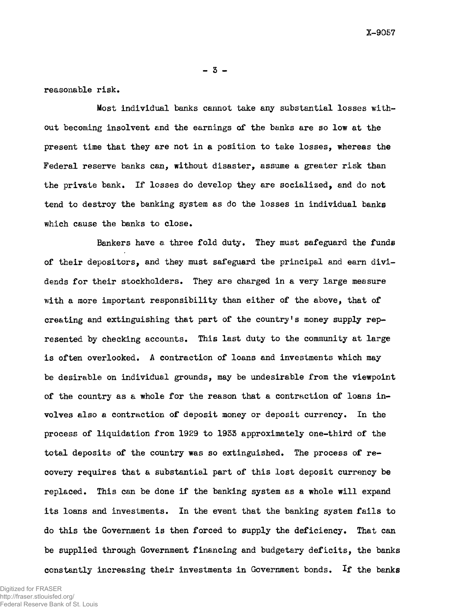$-3 -$ 

reasonable risk.

Most individual banks cannot take any substantial losses without becoming insolvent and the earnings of the banks are so low at the present time that they are not in a position to take losses, whereas the Federal reserve banks can, without disaster, assume a greater risk than the private bank. If losses do develop they are socialized, and do not tend to destroy the banking system as do the losses in individual banks which cause the banks to close.

Bankers have a three fold duty. They must safeguard the funds of their depositors, and they must safeguard the principal and earn dividends for their stockholders. They are charged in a very large measure with a more important responsibility than either of the above, that of creating and extinguishing that part of the country's money supply represented by checking accounts. This last duty to the community at large is often overlooked. A contraction of loans and investments which may be desirable on individual grounds, may be undesirable from the viewpoint of the country as a whole for the reason that a contraction of loans involves also a contraction of deposit money or deposit currency. In the process of liquidation from 1929 to 1955 approximately one-third of the total deposits of the country was so extinguished. The process of recovery requires that a substantial part of this lost deposit currency be replaced. This can be done if the banking system as a whole will expand its loans and investments. In the event that the banking system fails to do this the Government is then forced to supply the deficiency. That can be supplied through Government financing and budgetary deficits, the banks constantly increasing their investments in Government bonds. If the banks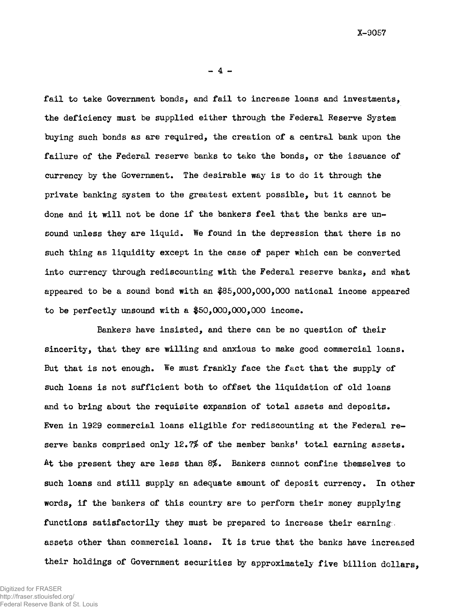$-4 -$ 

Tail to take Government bonds, and fail to increase loans and investments, the deficiency must be supplied either through the Federal Reserve System buying such bonds as are required, the creation of a central bank upon the failure of the Federal reserve banks to take the bonds, or the issuance of currency by the Government. The desirable way is to do it through the private banking system to the greatest extent possible, but it cannot be done and it will not be done if the bankers feel that the banks are unsound unless they are liquid. We found in the depression that there is no such thing as liquidity except in the case of paper which can be converted into currency through rediscounting with the Federal reserve banks, and what appeared to be a sound bond with an \$85,000,000,000 national income appeared to be perfectly unsound with a  $$50,000,000,000$  income.

Bankers have insisted, and there can be no question of their sincerity, that they are willing and anxious to make good commercial loans. But that is not enough. We must frankly face the fact that the supply of such loans is not sufficient both to offset the liquidation of old loans and to bring about the requisite expansion of total assets and deposits. Even in 1929 commercial loans eligible for rediscounting at the Federal reserve banks comprised only 12.7% of the member banks' total earning assets. At the present they are less than 8%. Bankers cannot confine themselves to such loans and still supply an adequate amount of deposit currency. In other words, if the bankers of this country are to perform their money supplying functions satisfactorily they must be prepared to increase their earnings. assets other than commercial loans. It is true that the banks have increased their holdings of Government securities by approximately five billion dollars,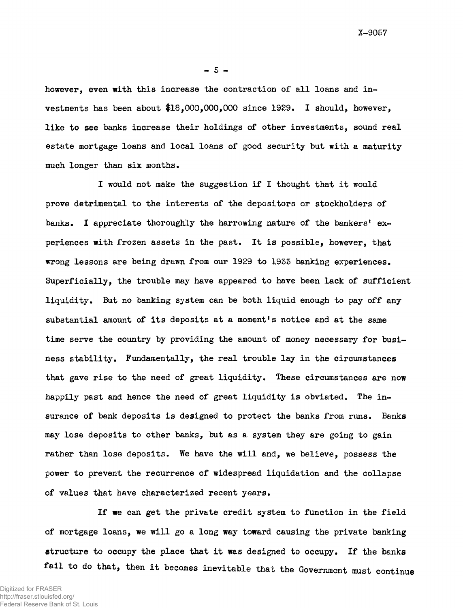$-5 -$ 

however, even with this increase the contraction of all loans and investments has been about \$18,000,000,000 since 1929. I should, however, like to see banks increase their holdings of other investments, sound real estate mortgage loans and local loans of good security but with a maturity much longer than six months.

I would not make the suggestion if I thought that it would prove detrimental to the interests of the depositors or stockholders of banks. I appreciate thoroughly the harrowing nature of the bankers' experiences with frozen assets in the past. It is possible, however, that wrong lessons are being drawn from our 1929 to 1933 banking experiences. Superficially, the trouble may have appeared to have been lack of sufficient liquidity. But no banking system can be both liquid enough to pay off any substantial amount of its deposits at a moment's notice and at the same time serve the country by providing the amount of money necessary for business stability. Fundamentally, the real trouble lay in the circumstances that gave rise to the need of great liquidity. These circumstances are now happily past and hence the need of great liquidity is obviated. The insurance of bank deposits is designed to protect the banks from runs. Banks may lose deposits to other banks, but as a system they are going to gain rather than lose deposits. We have the will and, we believe, possess the power to prevent the recurrence of widespread liquidation and the collapse of values that have characterized recent years.

If we can get the private credit system to function in the field of mortgage loans, we will go a long way toward causing the private banking structure to occupy the place that it was designed to occupy. If the banks fail to do that, then it becomes inevitable that the Government must continue